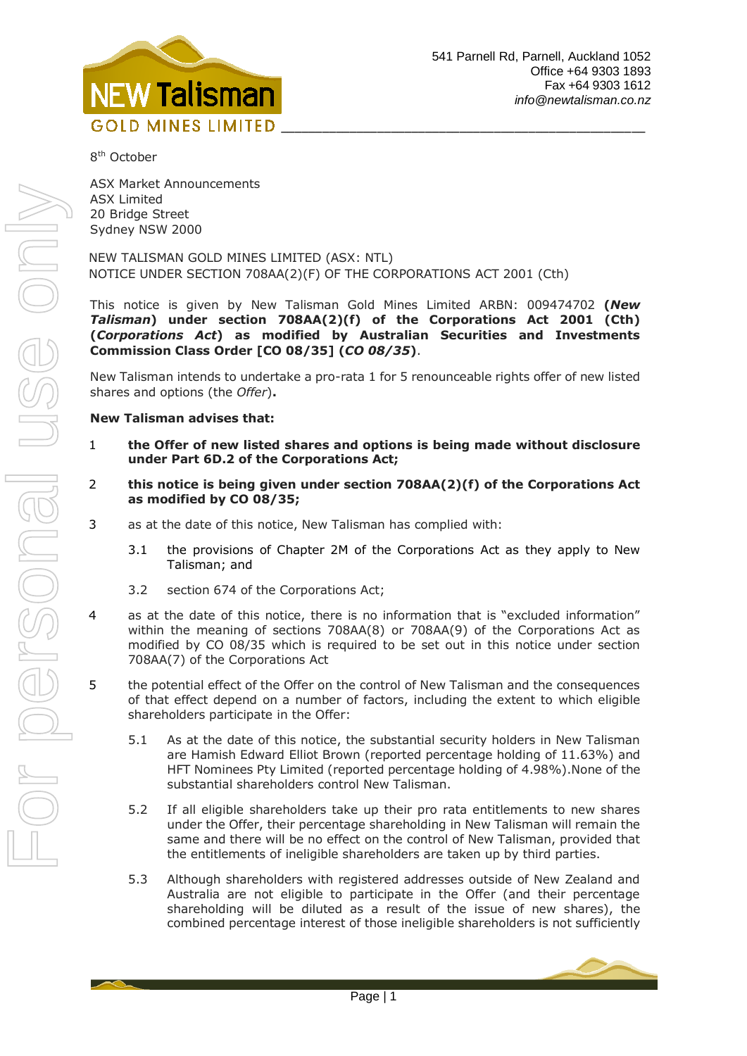

8<sup>th</sup> October

ASX Market Announcements ASX Limited 20 Bridge Street Sydney NSW 2000

NEW TALISMAN GOLD MINES LIMITED (ASX: NTL) NOTICE UNDER SECTION 708AA(2)(F) OF THE CORPORATIONS ACT 2001 (Cth)

This notice is given by New Talisman Gold Mines Limited ARBN: 009474702 **(***New Talisman***) under section 708AA(2)(f) of the Corporations Act 2001 (Cth) (***Corporations Act***) as modified by Australian Securities and Investments Commission Class Order [CO 08/35] (***CO 08/35***)**.

New Talisman intends to undertake a pro-rata 1 for 5 renounceable rights offer of new listed shares and options (the *Offer*)**.**

## **New Talisman advises that:**

- 1 **the Offer of new listed shares and options is being made without disclosure under Part 6D.2 of the Corporations Act;**
- 2 **this notice is being given under section 708AA(2)(f) of the Corporations Act as modified by CO 08/35;**
- 3 as at the date of this notice, New Talisman has complied with:
	- 3.1 the provisions of Chapter 2M of the Corporations Act as they apply to New Talisman; and
	- 3.2 section 674 of the Corporations Act;
- 4 as at the date of this notice, there is no information that is "excluded information" within the meaning of sections 708AA(8) or 708AA(9) of the Corporations Act as modified by CO 08/35 which is required to be set out in this notice under section 708AA(7) of the Corporations Act
- 5 the potential effect of the Offer on the control of New Talisman and the consequences of that effect depend on a number of factors, including the extent to which eligible shareholders participate in the Offer:
	- 5.1 As at the date of this notice, the substantial security holders in New Talisman are [Hamish Edward Elliot Brown](http://companyresearch.nzx.com/deep_ar/sshdata.php?sshnumber=19267) (reported percentage holding of 11.63%) and [HFT Nominees Pty Limited](http://companyresearch.nzx.com/deep_ar/sshdata.php?sshnumber=19270) (reported percentage holding of 4.98%).None of the substantial shareholders control New Talisman.
	- 5.2 If all eligible shareholders take up their pro rata entitlements to new shares under the Offer, their percentage shareholding in New Talisman will remain the same and there will be no effect on the control of New Talisman, provided that the entitlements of ineligible shareholders are taken up by third parties.
	- 5.3 Although shareholders with registered addresses outside of New Zealand and Australia are not eligible to participate in the Offer (and their percentage shareholding will be diluted as a result of the issue of new shares), the combined percentage interest of those ineligible shareholders is not sufficiently